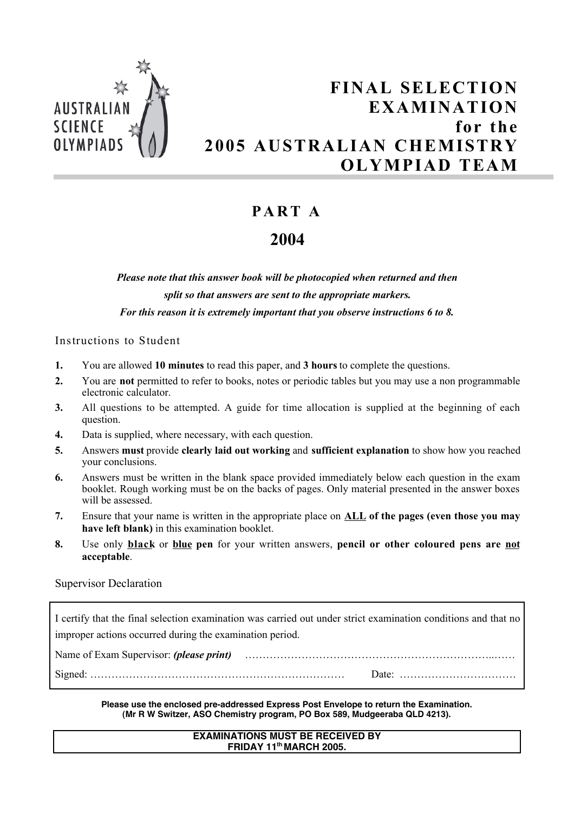

# **FINAL SELECTION EXAMINATION for the 2005 AUSTRALIAN CHEMISTRY OLYMPIAD TEAM**

### **PA R T A**

## **2004**

*Please note that this answer book will be photocopied when returned and then split so that answers are sent to the appropriate markers. For this reason it is extremely important that you observe instructions 6 to 8.*

Instructions to Student

- **1.** You are allowed **10 minutes** to read this paper, and **3 hours** to complete the questions.
- **2.** You are **not** permitted to refer to books, notes or periodic tables but you may use a non programmable electronic calculator.
- **3.** All questions to be attempted. A guide for time allocation is supplied at the beginning of each question.
- **4.** Data is supplied, where necessary, with each question.
- **5.** Answers **must** provide **clearly laid out working** and **sufficient explanation** to show how you reached your conclusions.
- **6.** Answers must be written in the blank space provided immediately below each question in the exam booklet. Rough working must be on the backs of pages. Only material presented in the answer boxes will be assessed.
- **7.** Ensure that your name is written in the appropriate place on **ALL of the pages (even those you may have left blank)** in this examination booklet.
- **8.** Use only **black** or **blue pen** for your written answers, **pencil or other coloured pens are not acceptable**.

### Supervisor Declaration

I certify that the final selection examination was carried out under strict examination conditions and that no improper actions occurred during the examination period.

| Name of Exam Supervisor: <i>(please print)</i> |  |
|------------------------------------------------|--|
|                                                |  |

### **Please use the enclosed pre-addressed Express Post Envelope to return the Examination. (Mr R W Switzer, ASO Chemistry program, PO Box 589, Mudgeeraba QLD 4213).**

### **EXAMINATIONS MUST BE RECEIVED BY FRIDAY 11th MARCH 2005.**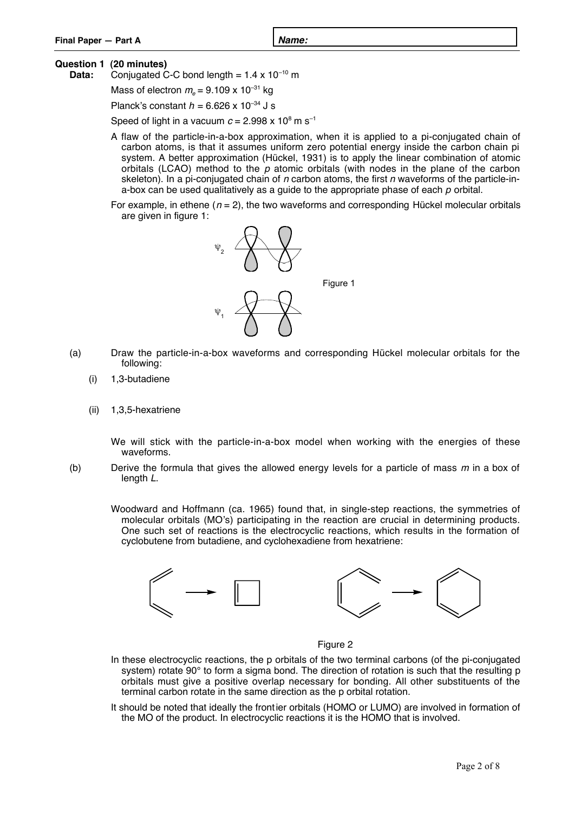| Final Paper - Part A | N9n |  |
|----------------------|-----|--|
|                      |     |  |
|                      |     |  |

### **Question 1 (20 minutes)**

**Data:** Conjugated C-C bond length =  $1.4 \times 10^{-10}$  m

Mass of electron  $m_e = 9.109 \times 10^{-31}$  kg

Planck's constant  $h = 6.626 \times 10^{-34}$  J s

Speed of light in a vacuum  $c = 2.998 \times 10^8$  m s<sup>-1</sup>

- A flaw of the particle-in-a-box approximation, when it is applied to a pi-conjugated chain of carbon atoms, is that it assumes uniform zero potential energy inside the carbon chain pi system. A better approximation (Hückel, 1931) is to apply the linear combination of atomic orbitals (LCAO) method to the  $p$  atomic orbitals (with nodes in the plane of the carbon skeleton). In a pi-conjugated chain of n carbon atoms, the first n waveforms of the particle-ina-box can be used qualitatively as a guide to the appropriate phase of each  $p$  orbital.
- For example, in ethene ( $n = 2$ ), the two waveforms and corresponding Hückel molecular orbitals are given in figure 1:



- (a) Draw the particle-in-a-box waveforms and corresponding Hückel molecular orbitals for the following:
	- (i) 1,3-butadiene
	- (ii) 1,3,5-hexatriene

We will stick with the particle-in-a-box model when working with the energies of these waveforms.

- (b) Derive the formula that gives the allowed energy levels for a particle of mass  $m$  in a box of length L.
	- Woodward and Hoffmann (ca. 1965) found that, in single-step reactions, the symmetries of molecular orbitals (MO's) participating in the reaction are crucial in determining products. One such set of reactions is the electrocyclic reactions, which results in the formation of cyclobutene from butadiene, and cyclohexadiene from hexatriene:



Figure 2

- In these electrocyclic reactions, the p orbitals of the two terminal carbons (of the pi-conjugated system) rotate 90° to form a sigma bond. The direction of rotation is such that the resulting p orbitals must give a positive overlap necessary for bonding. All other substituents of the terminal carbon rotate in the same direction as the p orbital rotation.
- It should be noted that ideally the frontier orbitals (HOMO or LUMO) are involved in formation of the MO of the product. In electrocyclic reactions it is the HOMO that is involved.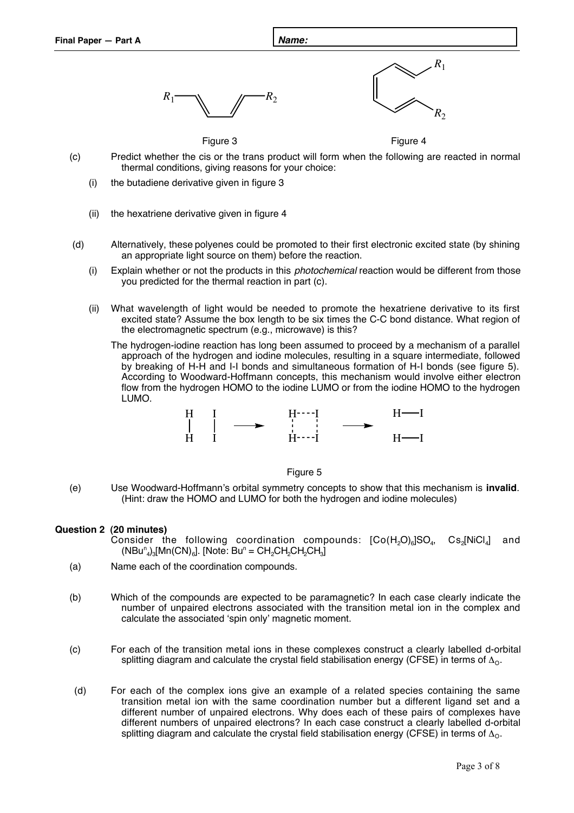



Figure 3 **Figure 4** 

- (c) Predict whether the cis or the trans product will form when the following are reacted in normal thermal conditions, giving reasons for your choice:
	- (i) the butadiene derivative given in figure 3
	- (ii) the hexatriene derivative given in figure 4
- (d) Alternatively, these polyenes could be promoted to their first electronic excited state (by shining an appropriate light source on them) before the reaction.
	- (i) Explain whether or not the products in this photochemical reaction would be different from those you predicted for the thermal reaction in part (c).
	- (ii) What wavelength of light would be needed to promote the hexatriene derivative to its first excited state? Assume the box length to be six times the C-C bond distance. What region of the electromagnetic spectrum (e.g., microwave) is this?

The hydrogen-iodine reaction has long been assumed to proceed by a mechanism of a parallel approach of the hydrogen and iodine molecules, resulting in a square intermediate, followed by breaking of H-H and I-I bonds and simultaneous formation of H-I bonds (see figure 5). According to Woodward-Hoffmann concepts, this mechanism would involve either electron flow from the hydrogen HOMO to the iodine LUMO or from the iodine HOMO to the hydrogen LUMO.





(e) Use Woodward-Hoffmann's orbital symmetry concepts to show that this mechanism is **invalid**. (Hint: draw the HOMO and LUMO for both the hydrogen and iodine molecules)

### **Question 2 (20 minutes)**

- Consider the following coordination compounds:  $[Co(H<sub>2</sub>O)<sub>6</sub>]SO<sub>4</sub>$ ,  $Cs<sub>2</sub>/NiCl<sub>4</sub>]$  and  $(NBu^n_{4})_{3}$ [Mn(CN)<sub>6</sub>]. [Note: Bu<sup>n</sup> = CH<sub>2</sub>CH<sub>2</sub>CH<sub>2</sub>CH<sub>3</sub>]
- (a) Name each of the coordination compounds.
- (b) Which of the compounds are expected to be paramagnetic? In each case clearly indicate the number of unpaired electrons associated with the transition metal ion in the complex and calculate the associated 'spin only' magnetic moment.
- (c) For each of the transition metal ions in these complexes construct a clearly labelled d-orbital splitting diagram and calculate the crystal field stabilisation energy (CFSE) in terms of  $\Delta_{\Omega}$ .
- (d) For each of the complex ions give an example of a related species containing the same transition metal ion with the same coordination number but a different ligand set and a different number of unpaired electrons. Why does each of these pairs of complexes have different numbers of unpaired electrons? In each case construct a clearly labelled d-orbital splitting diagram and calculate the crystal field stabilisation energy (CFSE) in terms of  $\Delta_{\Omega}$ .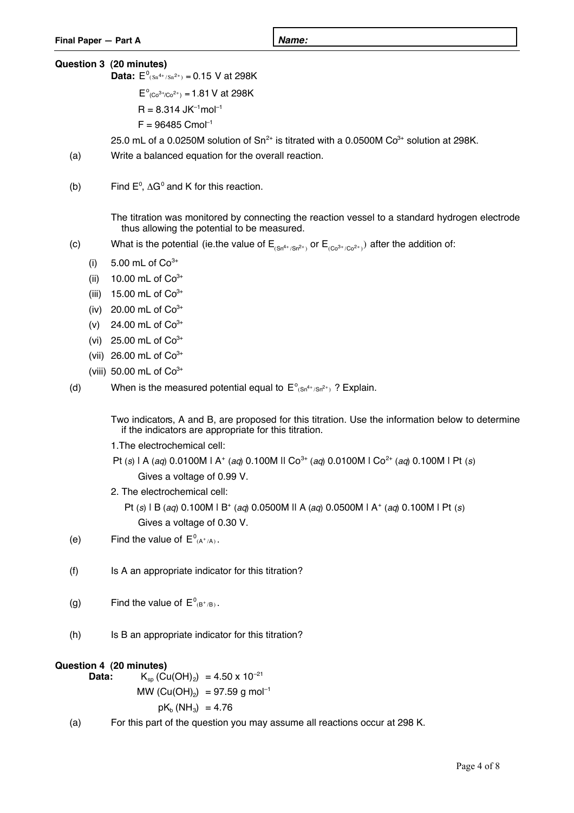### **Question 3 (20 minutes)**

**Data:**  $E^{0}(Sn^{4+/Sn^{2+})} = 0.15$  V at 298K

 $E^{\circ}_{(Co^{3+}/Co^{2+})} = 1.81$  V at 298K

 $R = 8.314$  JK<sup>-1</sup>mol<sup>-1</sup>

 $F = 96485$  Cmol<sup>-1</sup>

25.0 mL of a 0.0250M solution of  $Sn^{2+}$  is titrated with a 0.0500M  $Co^{3+}$  solution at 298K.

- (a) Write a balanced equation for the overall reaction.
- (b) Find  $E^0$ ,  $\Delta G^0$  and K for this reaction.

The titration was monitored by connecting the reaction vessel to a standard hydrogen electrode thus allowing the potential to be measured.

- (c) What is the potential (ie the value of  $E_{(Sn^{4+/Sh^{2+}})}$  or  $E_{(Co^{3+}/Co^{2+})}$ ) after the addition of:
	- (i)  $5.00 \text{ mL of } Co^{3+}$
	- (ii) 10.00 mL of  $Co^{3+}$
	- (iii) 15.00 mL of  $Co<sup>3+</sup>$
	- (iv) 20.00 mL of  $Co^{3+}$
	- (v) 24.00 mL of  $Co^{3+}$
	- (vi) 25.00 mL of  $Co^{3+}$
	- (vii) 26.00 mL of  $Co^{3+}$
	- (viii) 50.00 mL of  $Co^{3+}$
- (d) When is the measured potential equal to  $E^{\circ}_{(Sn^{4+}/Sn^{2+})}$ ? Explain.

if the indicators are appropriate for this titration. Two indicators, A and B, are proposed for this titration. Use the information below to determine

- 1.The electrochemical cell:
- Pt (s) | A (aq) 0.0100M | A<sup>+</sup> (aq) 0.100M || Co<sup>3+</sup> (aq) 0.0100M | Co<sup>2+</sup> (aq) 0.100M | Pt (s) Gives a voltage of 0.99 V.
- 2. The electrochemical cell:
	- Pt (s)  $\vert$  B (aq) 0.100M  $\vert$  B<sup>+</sup> (aq) 0.0500M  $\vert$  A (aq) 0.0500M  $\vert$  A<sup>+</sup> (aq) 0.100M  $\vert$  Pt (s) Gives a voltage of 0.30 V.
- (e) Find the value of  $E^0_{(A^+/A)}$ .
- (f) Is A an appropriate indicator for this titration?
- (g) Find the value of  $E^0_{(B^+/B)}$ .
- (h) Is B an appropriate indicator for this titration?

# **Question 4 (20 minutes)**

 $K_{sp}$  (Cu(OH)<sub>2</sub>) = 4.50 x 10<sup>-21</sup> MW (Cu(OH)<sub>2</sub>) = 97.59 g mol<sup>-1</sup>  $pK_b (NH_3) = 4.76$ 

(a) For this part of the question you may assume all reactions occur at 298 K.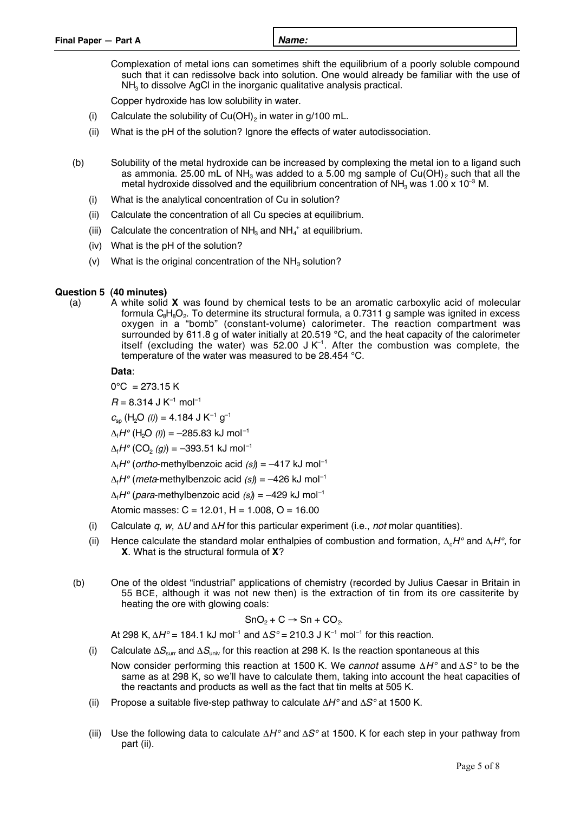Complexation of metal ions can sometimes shift the equilibrium of a poorly soluble compound such that it can redissolve back into solution. One would already be familiar with the use of  $NH<sub>3</sub>$  to dissolve AgCl in the inorganic qualitative analysis practical.

Copper hydroxide has low solubility in water.

- (i) Calculate the solubility of  $Cu(OH)_{2}$  in water in g/100 mL.
- (ii) What is the pH of the solution? Ignore the effects of water autodissociation.
- (b) Solubility of the metal hydroxide can be increased by complexing the metal ion to a ligand such as ammonia. 25.00 mL of NH<sub>3</sub> was added to a 5.00 mg sample of Cu(OH)<sub>2</sub> such that all the metal hydroxide dissolved and the equilibrium concentration of NH<sub>3</sub> was 1.00 x 10<sup>-3</sup> M.
	- (i) What is the analytical concentration of Cu in solution?
	- (ii) Calculate the concentration of all Cu species at equilibrium.
	- (iii) Calculate the concentration of  $NH<sub>3</sub>$  and  $NH<sub>4</sub><sup>+</sup>$  at equilibrium.
	- (iv) What is the pH of the solution?
	- (v) What is the original concentration of the  $NH<sub>3</sub>$  solution?

### **Question 5 (40 minutes)**

(a) A white solid **X** was found by chemical tests to be an aromatic carboxylic acid of molecular formula  $\rm{C_8H_8O_2}$ . To determine its structural formula, a 0.7311 g sample was ignited in excess oxygen in a "bomb" (constant-volume) calorimeter. The reaction compartment was surrounded by 611.8 g of water initially at 20.519 °C, and the heat capacity of the calorimeter itself (excluding the water) was  $52.00$  J K<sup>-1</sup>. After the combustion was complete, the temperature of the water was measured to be 28.454 °C.

**Data**:

 $0^{\circ}$ C = 273.15 K  $R = 8.314$  J K<sup>-1</sup> mol<sup>-1</sup>

 $c_{\rm so}$  (H<sub>2</sub>O (*I*)) = 4.184 J K<sup>-1</sup> g<sup>-1</sup>

 $\Delta_{\text{f}}H^{\circ}$  (H<sub>2</sub>O *(I)*) = -285.83 kJ mol<sup>-1</sup>

 $\Delta_{\text{f}}H^{\circ}$  (CO<sub>2</sub> (g)) = –393.51 kJ mol<sup>-1</sup>

 $\Delta_f H^{\circ}$  (*ortho*-methylbenzoic acid *(s)*) = –417 kJ mol<sup>-1</sup>

 $\Delta_i H^{\circ}$  (*meta*-methylbenzoic acid (s)) = -426 kJ mol<sup>-1</sup>

 $\Delta_f H^o$  (*para*-methylbenzoic acid *(s)*) = –429 kJ mol<sup>-1</sup>

Atomic masses:  $C = 12.01$ ,  $H = 1.008$ ,  $O = 16.00$ 

- (i) Calculate  $q$ ,  $w$ ,  $\Delta U$  and  $\Delta H$  for this particular experiment (i.e., *not* molar quantities).
- (ii) Hence calculate the standard molar enthalpies of combustion and formation,  $\Delta_cH^{\circ}$  and  $\Delta_fH^{\circ}$ , for **X**. What is the structural formula of **X**?
- (b) One of the oldest "industrial" applications of chemistry (recorded by Julius Caesar in Britain in 55 BCE, although it was not new then) is the extraction of tin from its ore cassiterite by heating the ore with glowing coals:

$$
SnO_2 + C \rightarrow Sn + CO_2.
$$

At 298 K,  $\Delta H^{\circ}$  = 184.1 kJ mol<sup>-1</sup> and  $\Delta S^{\circ}$  = 210.3 J K<sup>-1</sup> mol<sup>-1</sup> for this reaction.

- (i) Calculate  $\Delta S_{\text{surr}}$  and  $\Delta S_{\text{univ}}$  for this reaction at 298 K. Is the reaction spontaneous at this
	- Now consider performing this reaction at 1500 K. We cannot assume  $\Delta H^{\circ}$  and  $\Delta S^{\circ}$  to be the same as at 298 K, so we'll have to calculate them, taking into account the heat capacities of the reactants and products as well as the fact that tin melts at 505 K.
- (ii) Propose a suitable five-step pathway to calculate  $\Delta H^{\circ}$  and  $\Delta S^{\circ}$  at 1500 K.
- (iii) Use the following data to calculate  $\Delta H^{\circ}$  and  $\Delta S^{\circ}$  at 1500. K for each step in your pathway from part (ii).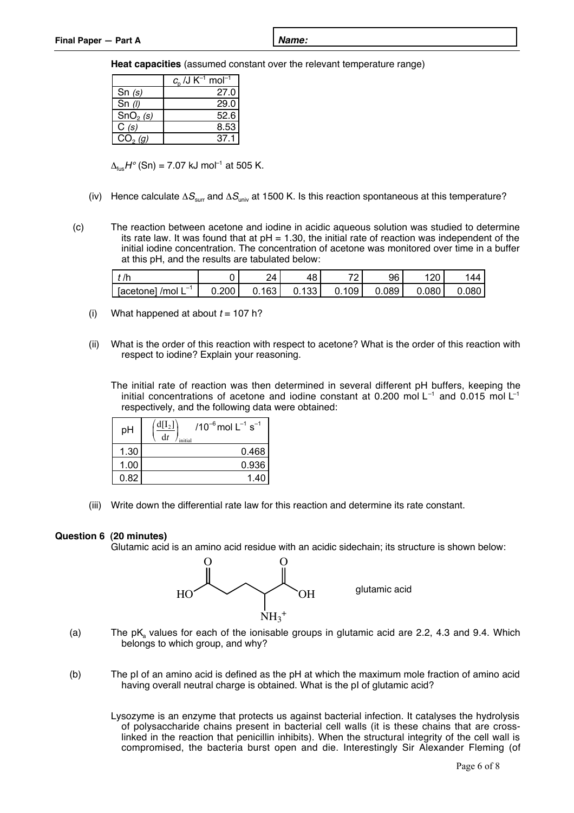**Heat capacities** (assumed constant over the relevant temperature range)

|                      | $c_n$ /J K <sup>-1</sup> mol <sup>-1</sup> |
|----------------------|--------------------------------------------|
| Sn $(s)$             | 27.0                                       |
| Sn $(1)$             | 29.0                                       |
| SnO <sub>2</sub> (s) | 52.6                                       |
| C(s)                 | 8.53                                       |
| (a)                  |                                            |

 $\Delta_{\text{fus}}H^{\circ}$  (Sn) = 7.07 kJ mol<sup>-1</sup> at 505 K.

- (iv) Hence calculate  $\Delta S_{\text{surr}}$  and  $\Delta S_{\text{univ}}$  at 1500 K. Is this reaction spontaneous at this temperature?
- (c) The reaction between acetone and iodine in acidic aqueous solution was studied to determine its rate law. It was found that at  $pH = 1.30$ , the initial rate of reaction was independent of the initial iodine concentration. The concentration of acetone was monitored over time in a buffer at this pH, and the results are tabulated below:

| $\mathbb{R}$                                      |         | 1                | . .      | ⇁⌒  | 96    | . ∠∪       | 44   |
|---------------------------------------------------|---------|------------------|----------|-----|-------|------------|------|
| $\overline{\phantom{a}}$<br>lacetonel<br>' /mol ∟ | ∪.200 ' | 163 <sub>1</sub> | 33<br>O. | 109 | 0.089 | .080<br>э. | .080 |

- (i) What happened at about  $t = 107$  h?
- (ii) What is the order of this reaction with respect to acetone? What is the order of this reaction with respect to iodine? Explain your reasoning.

The initial rate of reaction was then determined in several different pH buffers, keeping the initial concentrations of acetone and iodine constant at 0.200 mol  $L^{-1}$  and 0.015 mol  $L^{-1}$ respectively, and the following data were obtained:

| pH   | $d[I_2]$<br>/10 <sup>-6</sup> mol $L^{-1}$ s <sup>-1</sup><br>dt<br>initial |
|------|-----------------------------------------------------------------------------|
| 1.30 | 0.468                                                                       |
| 1.00 | 0.936                                                                       |
| 0.82 |                                                                             |

(iii) Write down the differential rate law for this reaction and determine its rate constant.

### **Question 6 (20 minutes)**

Glutamic acid is an amino acid residue with an acidic sidechain; its structure is shown below:



- (a) The  $pK_a$  values for each of the ionisable groups in glutamic acid are 2.2, 4.3 and 9.4. Which belongs to which group, and why?
- (b) The pI of an amino acid is defined as the pH at which the maximum mole fraction of amino acid having overall neutral charge is obtained. What is the pI of glutamic acid?
	- Lysozyme is an enzyme that protects us against bacterial infection. It catalyses the hydrolysis of polysaccharide chains present in bacterial cell walls (it is these chains that are crosslinked in the reaction that penicillin inhibits). When the structural integrity of the cell wall is compromised, the bacteria burst open and die. Interestingly Sir Alexander Fleming (of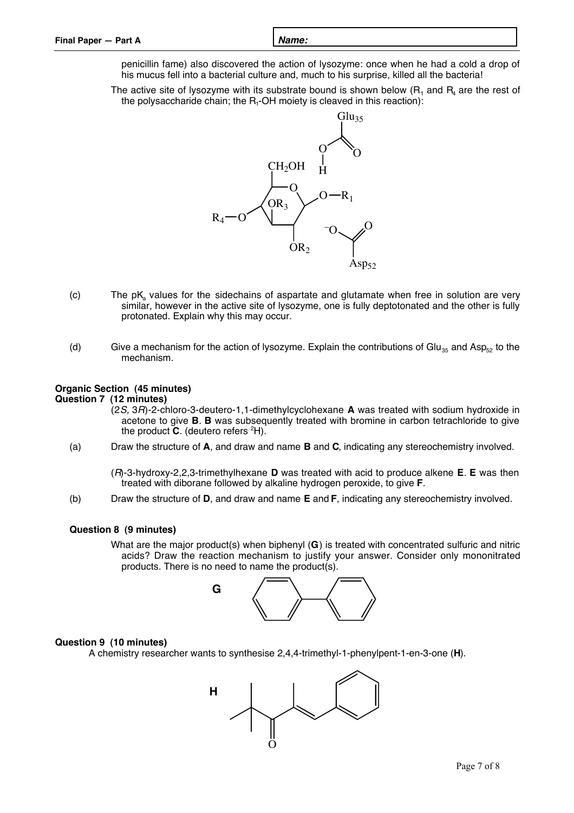| Final Paper - Part A | Name: |
|----------------------|-------|
|                      |       |

penicillin fame) also discovered the action of lysozyme: once when he had a cold a drop of his mucus fell into a bacterial culture and, much to his surprise, killed all the bacteria!

The active site of lysozyme with its substrate bound is shown below  $(R_1$  and  $R_4$  are the rest of the polysaccharide chain; the  $R_1$ -OH moiety is cleaved in this reaction):



- $(c)$  The pK<sub>a</sub> values for the sidechains of aspartate and glutamate when free in solution are very similar, however in the active site of lysozyme, one is fully deptotonated and the other is fully protonated. Explain why this may occur.
- (d) Give a mechanism for the action of lysozyme. Explain the contributions of Glu<sub>35</sub> and Asp<sub>52</sub> to the mechanism.

### **Organic Section (45 minutes)**

### **Question 7 (12 minutes)**

- (2S, 3R)-2-chloro-3-deutero-1,1-dimethylcyclohexane **A** was treated with sodium hydroxide in acetone to give **B**. **B** was subsequently treated with bromine in carbon tetrachloride to give the product **C**. (deutero refers 2 H).
- (a) Draw the structure of **A**, and draw and name **B** and **C**, indicating any stereochemistry involved.

(R)-3-hydroxy-2,2,3-trimethylhexane **D** was treated with acid to produce alkene **E**. **E** was then treated with diborane followed by alkaline hydrogen peroxide, to give **F**.

(b) Draw the structure of **D**, and draw and name **E** and **F**, indicating any stereochemistry involved.

### **Question 8 (9 minutes)**

What are the major product(s) when biphenyl (**G**) is treated with concentrated sulfuric and nitric acids? Draw the reaction mechanism to justify your answer. Consider only mononitrated products. There is no need to name the product(s).



#### **Question 9 (10 minutes)**

A chemistry researcher wants to synthesise 2,4,4-trimethyl-1-phenylpent-1-en-3-one (**H**).